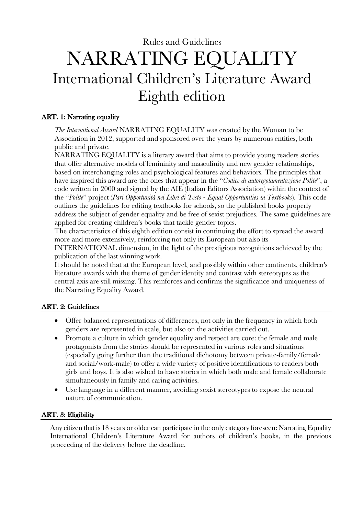# Rules and Guidelines NARRATING EQUALITY International Children's Literature Award Eighth edition

# ART. 1: Narrating equality

*The International Award* NARRATING EQUALITY was created by the Woman to be Association in 2012, supported and sponsored over the years by numerous entities, both public and private.

NARRATING EQUALITY is a literary award that aims to provide young readers stories that offer alternative models of femininity and masculinity and new gender relationships, based on interchanging roles and psychological features and behaviors. The principles that have inspired this award are the ones that appear in the "*Codice di autoregolamentazione Polite*", a code written in 2000 and signed by the AIE (Italian Editors Association) within the context of the "*Polite*" project (*Pari Opportunità nei Libri di Testo - Equal Opportunities in Textbooks*). This code outlines the guidelines for editing textbooks for schools, so the published books properly address the subject of gender equality and be free of sexist prejudices. The same guidelines are applied for creating children's books that tackle gender topics.

The characteristics of this eighth edition consist in continuing the effort to spread the award more and more extensively, reinforcing not only its European but also its

INTERNATIONAL dimension, in the light of the prestigious recognitions achieved by the publication of the last winning work.

It should be noted that at the European level, and possibly within other continents, children's literature awards with the theme of gender identity and contrast with stereotypes as the central axis are still missing. This reinforces and confirms the significance and uniqueness of the Narrating Equality Award.

# ART. 2: Guidelines

- Offer balanced representations of differences, not only in the frequency in which both genders are represented in scale, but also on the activities carried out.
- Promote a culture in which gender equality and respect are core: the female and male protagonists from the stories should be represented in various roles and situations (especially going further than the traditional dichotomy between private-family/female and social/work-male) to offer a wide variety of positive identifications to readers both girls and boys. It is also wished to have stories in which both male and female collaborate simultaneously in family and caring activities.
- Use language in a different manner, avoiding sexist stereotypes to expose the neutral nature of communication.

## ART. 3: Eligibility

Any citizen that is 18 years or older can participate in the only category foreseen: Narrating Equality International Children's Literature Award for authors of children's books, in the previous proceeding of the delivery before the deadline.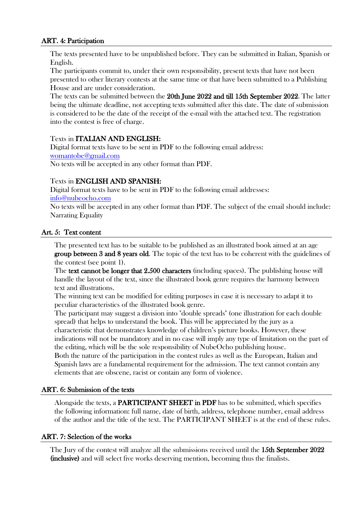### ART. 4: Participation

The texts presented have to be unpublished before. They can be submitted in Italian, Spanish or English.

The participants commit to, under their own responsibility, present texts that have not been presented to other literary contests at the same time or that have been submitted to a Publishing House and are under consideration.

The texts can be submitted between the 20th June 2022 and till 15th September 2022. The latter being the ultimate deadline, not accepting texts submitted after this date. The date of submission is considered to be the date of the receipt of the e-mail with the attached text. The registration into the contest is free of charge.

## Texts in ITALIAN AND ENGLISH:

Digital format texts have to be sent in PDF to the following email address: womantobe@gmail.com No texts will be accepted in any other format than PDF.

## Texts in ENGLISH AND SPANISH:

Digital format texts have to be sent in PDF to the following email addresses: info@nubeocho.com

elements that are obscene, racist or contain any form of violence.

No texts will be accepted in any other format than PDF. The subject of the email should include: Narrating Equality

## Art. 5: Text content

The presented text has to be suitable to be published as an illustrated book aimed at an age group between 3 and 8 years old. The topic of the text has to be coherent with the guidelines of the contest (see point 1).

The text cannot be longer that 2.500 characters (including spaces). The publishing house will handle the layout of the text, since the illustrated book genre requires the harmony between text and illustrations.

The winning text can be modified for editing purposes in case it is necessary to adapt it to peculiar characteristics of the illustrated book genre.

The participant may suggest a division into "double spreads" (one illustration for each double spread) that helps to understand the book. This will be appreciated by the jury as a characteristic that demonstrates knowledge of children's picture books. However, these indications will not be mandatory and in no case will imply any type of limitation on the part of the editing, which will be the sole responsibility of NubeOcho publishing house. Both the nature of the participation in the contest rules as well as the European, Italian and Spanish laws are a fundamental requirement for the admission. The text cannot contain any

#### ART. 6: Submission of the texts

Alongside the texts, a PARTICIPANT SHEET in PDF has to be submitted, which specifies the following information: full name, date of birth, address, telephone number, email address of the author and the title of the text. The PARTICIPANT SHEET is at the end of these rules.

## ART. 7: Selection of the works

The Jury of the contest will analyze all the submissions received until the 15th September 2022 (inclusive) and will select five works deserving mention, becoming thus the finalists.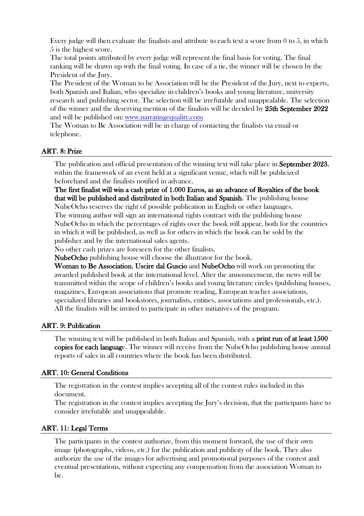Every judge will then evaluate the finalists and attribute to each text a score from 0 to 5, in which 5 is the highest score.

The total points attributed by every judge will represent the final basis for voting. The final ranking will be drawn up with the final voting. In case of a tie, the winner will be chosen by the President of the Jury.

The President of the Woman to be Association will be the President of the Jury, next to experts, both Spanish and Italian, who specialize in children's books and young literature, university research and publishing sector. The selection will be irrefutable and unappealable. The selection of the winner and the deserving mention of the finalists will be decided by 25th September 2022 and will be published on: www.narratingequality.com

The Woman to Be Association will be in charge of contacting the finalists via email or telephone.

#### ART. 8: Prize

The publication and official presentation of the winning text will take place in **September 2023**, within the framework of an event held at a significant venue, which will be publicized beforehand and the finalists notified in advance.

The first finalist will win a cash prize of 1.000 Euros, as an advance of Royalties of the book that will be published and distributed in both Italian and Spanish. The publishing house NubeOcho reserves the right of possible publication in English or other languages.

The winning author will sign an international rights contract with the publishing house NubeOcho in which the percentages of rights over the book will appear, both for the countries in which it will be published, as well as for others in which the book can be sold by the publisher and by the international sales agents.

No other cash prizes are foreseen for the other finalists.

NubeOcho publishing house will choose the illustrator for the book.

Woman to Be Association, Uscire dal Guscio and NubeOcho will work on promoting the awarded published book at the international level. After the announcement, the news will be transmitted within the scope of children's books and young literature circles (publishing houses, magazines, European associations that promote reading, European teacher associations, specialized libraries and bookstores, journalists, entities, associations and professionals, etc.). All the finalists will be invited to participate in other initiatives of the program.

#### ART. 9: Publication

The winning text will be published in both Italian and Spanish, with a **print run of at least 1500** copies for each language. The winner will receive from the NubeOcho publishing house annual reports of sales in all countries where the book has been distributed.

#### ART. 10: General Conditions

The registration in the contest implies accepting all of the contest rules included in this document.

The registration in the contest implies accepting the Jury's decision, that the participants have to consider irrefutable and unappealable.

#### ART. 11: Legal Terms

The participants in the contest authorize, from this moment forward, the use of their own image (photographs, videos, etc.) for the publication and publicity of the book. They also authorize the use of the images for advertising and promotional purposes of the contest and eventual presentations, without expecting any compensation from the association Woman to be.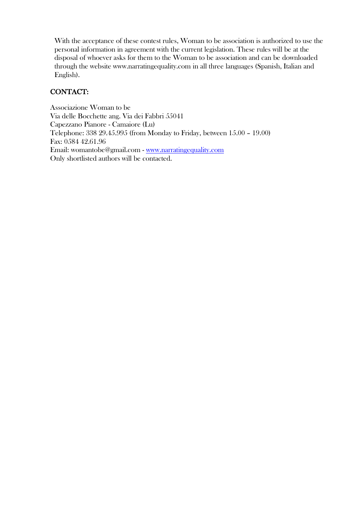With the acceptance of these contest rules, Woman to be association is authorized to use the personal information in agreement with the current legislation. These rules will be at the disposal of whoever asks for them to the Woman to be association and can be downloaded through the website www.narratingequality.com in all three languages (Spanish, Italian and English).

# CONTACT:

Associazione Woman to be Via delle Bocchette ang. Via dei Fabbri 55041 Capezzano Pianore - Camaiore (Lu) Telephone: 338 29.45.995 (from Monday to Friday, between 15.00 – 19.00) Fax: 0584 42.61.96 Email: womantobe@gmail.com - www.narratingequality.com Only shortlisted authors will be contacted.